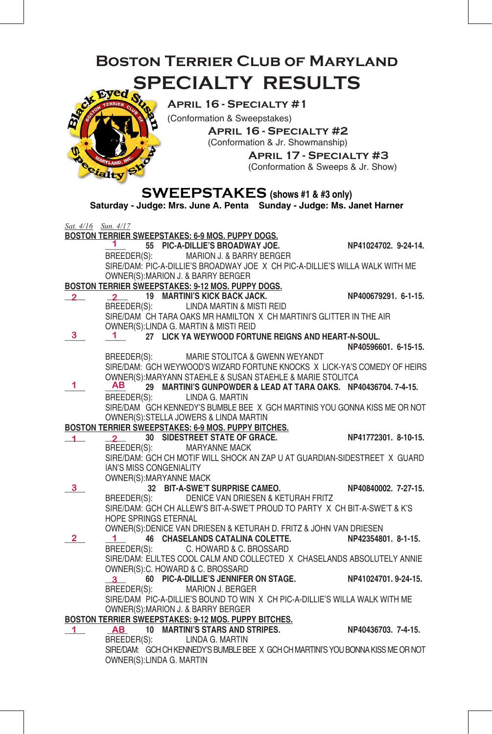## **Boston Terrier Club of Maryland SPECIALTY RESULTS** ed



**April 16 - Specialty #1**

(Conformation & Sweepstakes) **April 16 - Specialty #2**

(Conformation & Jr. Showmanship)

 **April 17 - Specialty #3**(Conformation & Sweeps & Jr. Show)

### **SWEEPSTAKES (shows #1 & #3 only)**

**Saturday - Judge: Mrs. June A. Penta Sunday - Judge: Ms. Janet Harner**

| Sat. 4/16 Sun. 4/17 |                                                                                                                                                                           |                      |
|---------------------|---------------------------------------------------------------------------------------------------------------------------------------------------------------------------|----------------------|
|                     | BOSTON TERRIER SWEEPSTAKES: 6-9 MOS. PUPPY DOGS.                                                                                                                          |                      |
|                     | 1 $\sim$<br>55 PIC-A-DILLIE'S BROADWAY JOE.                                                                                                                               | NP41024702. 9-24-14. |
|                     | BREEDER(S): MARION J. & BARRY BERGER                                                                                                                                      |                      |
|                     | SIRE/DAM: PIC-A-DILLIE'S BROADWAY JOE X CH PIC-A-DILLIE'S WILLA WALK WITH ME                                                                                              |                      |
|                     | OWNER(S): MARION J. & BARRY BERGER                                                                                                                                        |                      |
|                     | BOSTON TERRIER SWEEPSTAKES: 9-12 MOS. PUPPY DOGS.                                                                                                                         |                      |
| $\overline{2}$      | $\frac{2}{2}$ 19 MARTINI'S KICK BACK JACK.<br>BREEDER(S): LINDA MARTIN & MISTI REID<br>SIRE/DAM CH TARA OAKS MR HAMILTON V QUOTS                                          |                      |
|                     |                                                                                                                                                                           |                      |
|                     |                                                                                                                                                                           |                      |
|                     | OWNER(S): LINDA G. MARTIN & MISTI REID                                                                                                                                    |                      |
| 3 <sup>7</sup>      | 27 LICK YA WEYWOOD FORTUNE REIGNS AND HEART-N-SOUL.                                                                                                                       |                      |
|                     |                                                                                                                                                                           | NP40596601, 6-15-15. |
|                     | BREEDER(S): MARIE STOLITCA & GWENN WEYANDT                                                                                                                                |                      |
|                     | SIRE/DAM: GCH WEYWOOD'S WIZARD FORTUNE KNOCKS X LICK-YA'S COMEDY OF HEIRS                                                                                                 |                      |
|                     | OWNER(S): MARYANN STAEHLE & SUSAN STAEHLE & MARIE STOLITCA                                                                                                                |                      |
| 1.                  | AB<br>29 MARTINI'S GUNPOWDER & LEAD AT TARA OAKS. NP40436704. 7-4-15.                                                                                                     |                      |
|                     | BREEDER(S): LINDA G. MARTIN                                                                                                                                               |                      |
|                     | SIRE/DAM GCH KENNEDY'S BUMBLE BEE X GCH MARTINIS YOU GONNA KISS ME OR NOT                                                                                                 |                      |
|                     |                                                                                                                                                                           |                      |
|                     |                                                                                                                                                                           |                      |
|                     |                                                                                                                                                                           |                      |
|                     | OWNER(S): STELLA JOWERS & LIBRATION TWO WAS ASSEMBLY AND RESIDENCE ON THE SAME SWEEPSTAKES: 6-9 MOS. PUPPY BITCHES.<br>20 SIDESTREET STATE OF GRACE. NP41772301. 8-10-15. |                      |
|                     | SIRE/DAM: GCH CH MOTIF WILL SHOCK AN ZAP U AT GUARDIAN-SIDESTREET X GUARD                                                                                                 |                      |
|                     | IAN'S MISS CONGENIALITY                                                                                                                                                   |                      |
|                     | OWNER(S): MARYANNE MACK                                                                                                                                                   |                      |
| 3                   | MAHYANNE MACK<br>32 <b>BIT-A-SWE'T SURPRISE CAMEO.</b>                                                                                                                    | NP40840002. 7-27-15. |
|                     | BREEDER(S): DENICE VAN DRIESEN & KETURAH FRITZ                                                                                                                            |                      |
|                     | SIRE/DAM: GCH CH ALLEW'S BIT-A-SWE'T PROUD TO PARTY X CH BIT-A-SWE'T & K'S                                                                                                |                      |
|                     | HOPE SPRINGS ETERNAL                                                                                                                                                      |                      |
|                     | OWNER(S): DENICE VAN DRIESEN & KETURAH D. FRITZ & JOHN VAN DRIESEN                                                                                                        |                      |
| $\overline{2}$      | 1 46 CHASELANDS CATALINA COLETTE. NP42354801. 8-1-15.                                                                                                                     |                      |
|                     | BREEDER(S): C. HOWARD & C. BROSSARD                                                                                                                                       |                      |
|                     | SIRE/DAM: ELILTES COOL CALM AND COLLECTED X CHASELANDS ABSOLUTELY ANNIE                                                                                                   |                      |
|                     | OWNER(S): C. HOWARD & C. BROSSARD                                                                                                                                         |                      |
|                     | 3 60 PIC-A-DILLIE'S JENNIFER ON STAGE. NP41024701. 9-24-15.                                                                                                               |                      |
|                     | BREEDER(S): MARION J. BERGER                                                                                                                                              |                      |
|                     | SIRE/DAM PIC-A-DILLIE'S BOUND TO WIN X CH PIC-A-DILLIE'S WILLA WALK WITH ME                                                                                               |                      |
|                     | OWNER(S): MARION J. & BARRY BERGER                                                                                                                                        |                      |
|                     |                                                                                                                                                                           |                      |
|                     |                                                                                                                                                                           |                      |
|                     | BREEDER(S): LINDA G. MARTIN                                                                                                                                               |                      |
|                     | SIRE/DAM: GCH CH KENNEDY'S BUMBLE BEE X GCH CH MARTINI'S YOU BONNA KISS ME OR NOT                                                                                         |                      |
|                     | OWNER(S):LINDA G. MARTIN                                                                                                                                                  |                      |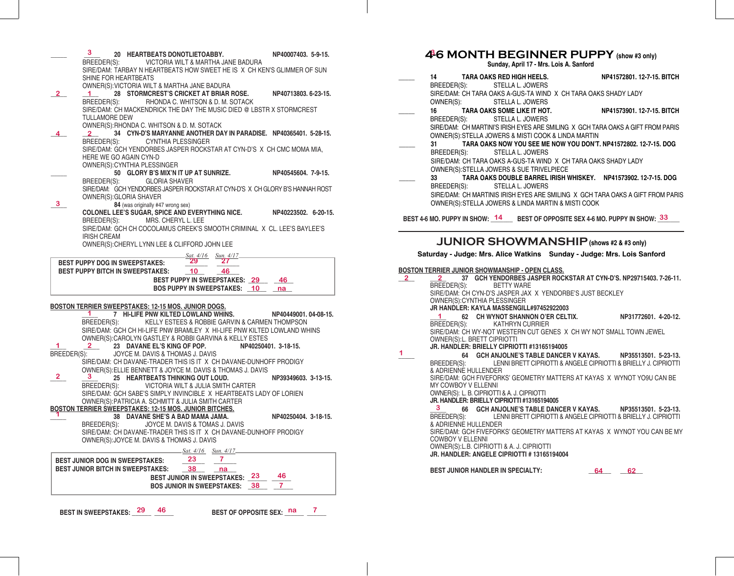|              | 3.                                       | 20 HEARTBEATS DONOTLIETOABBY.                                                                                   |                                                                        |                              | NP40007403. 5-9-15.  |   |
|--------------|------------------------------------------|-----------------------------------------------------------------------------------------------------------------|------------------------------------------------------------------------|------------------------------|----------------------|---|
|              |                                          | BREEDER(S): VICTORIA WILT & MARTHA JANE BADURA                                                                  |                                                                        |                              |                      |   |
|              |                                          | SIRE/DAM: TARBAY N HEARTBEATS HOW SWEET HE IS X CH KEN'S GLIMMER OF SUN                                         |                                                                        |                              |                      |   |
|              | SHINE FOR HEARTBEATS                     |                                                                                                                 |                                                                        |                              |                      |   |
|              |                                          | OWNER(S): VICTORIA WILT & MARTHA JANE BADURA                                                                    |                                                                        |                              |                      |   |
| $\mathbf{2}$ | 1 $\blacksquare$<br>BREEDER(S):          | 28 STORMCREST'S CRICKET AT BRIAR ROSE.                                                                          | RHONDA C. WHITSON & D. M. SOTACK                                       |                              | NP40713803. 6-23-15. |   |
|              |                                          | SIRE/DAM: CH MACKENDRICK THE DAY THE MUSIC DIED @ LBSTR X STORMCREST                                            |                                                                        |                              |                      |   |
|              | <b>TULLAMORE DEW</b>                     |                                                                                                                 |                                                                        |                              |                      |   |
|              |                                          | OWNER(S): RHONDA C. WHITSON & D. M. SOTACK                                                                      |                                                                        |                              |                      |   |
| 4            |                                          | 34 CYN-D'S MARYANNE ANOTHER DAY IN PARADISE. NP40365401. 5-28-15.                                               |                                                                        |                              |                      |   |
|              | BREEDER(S):                              |                                                                                                                 | <b>CYNTHIA PLESSINGER</b>                                              |                              |                      |   |
|              |                                          | SIRE/DAM: GCH YENDORBES JASPER ROCKSTAR AT CYN-D'S X CH CMC MOMA MIA,                                           |                                                                        |                              |                      |   |
|              | HERE WE GO AGAIN CYN-D                   |                                                                                                                 |                                                                        |                              |                      |   |
|              |                                          | OWNER(S): CYNTHIA PLESSINGER                                                                                    |                                                                        |                              |                      |   |
|              |                                          | 50 GLORY B'S MIX'N IT UP AT SUNRIZE. NP40545604. 7-9-15.                                                        |                                                                        |                              |                      |   |
|              |                                          | BREEDER(S): GLORIA SHAVER                                                                                       |                                                                        |                              |                      |   |
|              |                                          | SIRE/DAM: GCH YENDORBES JASPER ROCKSTAR AT CYN-D'S X CH GLORY B'S HANNAH ROST                                   |                                                                        |                              |                      |   |
| 3            | OWNER(S): GLORIA SHAVER                  |                                                                                                                 |                                                                        |                              |                      |   |
|              |                                          | 84 (was originally #47 wrong sex)<br><b>COLONEL LEE'S SUGAR, SPICE AND EVERYTHING NICE.</b>                     |                                                                        |                              | NP40223502. 6-20-15. |   |
|              | BREEDER(S):                              |                                                                                                                 | MRS. CHERYL L. LEE                                                     |                              |                      |   |
|              |                                          | SIRE/DAM: GCH CH COCOLAMUS CREEK'S SMOOTH CRIMINAL X CL. LEE'S BAYLEE'S                                         |                                                                        |                              |                      |   |
|              | <b>IRISH CREAM</b>                       |                                                                                                                 |                                                                        |                              |                      |   |
|              |                                          | OWNER(S): CHERYL LYNN LEE & CLIFFORD JOHN LEE                                                                   |                                                                        |                              |                      |   |
|              |                                          |                                                                                                                 |                                                                        | <u>- Sat. 4/16 Sun. 4/17</u> |                      |   |
|              | <b>BEST PUPPY DOG IN SWEEPSTAKES:</b>    |                                                                                                                 | 29                                                                     | 27.                          |                      |   |
|              |                                          | <b>BEST PUPPY BITCH IN SWEEPSTAKES:</b>                                                                         | <b>10</b>                                                              | 46                           |                      |   |
|              |                                          |                                                                                                                 | BEST PUPPY IN SWEEPSTAKES: 29 46                                       |                              |                      |   |
|              |                                          |                                                                                                                 |                                                                        |                              |                      |   |
|              |                                          |                                                                                                                 | BOS PUPPY IN SWEEPSTAKES: 10 has                                       |                              |                      |   |
|              |                                          |                                                                                                                 |                                                                        |                              |                      |   |
|              |                                          | BOSTON TERRIER SWEEPSTAKES: 12-15 MOS. JUNIOR DOGS.                                                             |                                                                        |                              |                      |   |
|              | 1.                                       | 7 HI-LIFE PNW KILTED LOWLAND WHINS.                                                                             |                                                                        |                              | NP40449001.04-08-15. |   |
|              |                                          | BREEDER(S): KELLY ESTEES & ROBBIE GARVIN & CARMEN THOMPSON                                                      |                                                                        |                              |                      |   |
|              |                                          | SIRE/DAM: GCH CH HI-LIFE PNW BRAMLEY X HI-LIFE PNW KILTED LOWLAND WHINS                                         |                                                                        |                              |                      |   |
| 1            |                                          | OWNER(S): CAROLYN GASTLEY & ROBBI GARVINA & KELLY ESTES                                                         |                                                                        |                              |                      |   |
|              |                                          | 2 23 DAVANE EL'S KING OF POP. NP40250401. 3-18-15.                                                              |                                                                        |                              |                      |   |
| BREEDER(S):  |                                          | JOYCE M. DAVIS & THOMAS J. DAVIS<br>SIRE/DAM: CH DAVANE-TRADER THIS IS IT X CH DAVANE-DUNHOFF PRODIGY           |                                                                        |                              |                      |   |
|              |                                          | OWNER(S): ELLIE BENNETT & JOYCE M. DAVIS & THOMAS J. DAVIS                                                      |                                                                        |                              |                      |   |
| $\mathbf{2}$ |                                          | 25 HEARTBEATS THINKING OUT LOUD.                                                                                |                                                                        |                              | NP39349603. 3-13-15. |   |
|              |                                          | BREEDER(S): VICTORIA WILT & JULIA SMITH CARTER                                                                  |                                                                        |                              |                      |   |
|              |                                          | SIRE/DAM: GCH SABE'S SIMPLY INVINCIBLE X HEARTBEATS LADY OF LORIEN                                              |                                                                        |                              |                      |   |
|              |                                          | OWNER(S): PATRICIA A. SCHMITT & JULIA SMITH CARTER                                                              |                                                                        |                              |                      |   |
|              |                                          | <b>BOSTON TERRIER SWEEPSTAKES: 12-15 MOS. JUNIOR BITCHES.</b>                                                   |                                                                        |                              |                      |   |
|              |                                          | 38 DAVANE SHE'S A BAD MAMA JAMA.                                                                                |                                                                        |                              | NP40250404, 3-18-15. |   |
|              | BREEDER(S):                              |                                                                                                                 | JOYCE M. DAVIS & TOMAS J. DAVIS                                        |                              |                      |   |
|              |                                          | SIRE/DAM: CH DAVANE-TRADER THIS IS IT X CH DAVANE-DUNHOFF PRODIGY<br>OWNER(S): JOYCE M. DAVIS & THOMAS J. DAVIS |                                                                        |                              |                      |   |
|              |                                          |                                                                                                                 |                                                                        |                              |                      |   |
|              |                                          |                                                                                                                 | Sat. 4/16 Sun. 4/17_                                                   |                              |                      |   |
|              | <b>BEST JUNIOR DOG IN SWEEPSTAKES:</b>   |                                                                                                                 | 23                                                                     | 7.                           |                      |   |
|              | <b>BEST JUNIOR BITCH IN SWEEPSTAKES:</b> |                                                                                                                 | 38                                                                     | na                           | 46                   |   |
|              |                                          |                                                                                                                 | BEST JUNIOR IN SWEEPSTAKES: 23<br><b>BOS JUNIOR IN SWEEPSTAKES: 38</b> |                              | $\mathbf{7}$         |   |
|              |                                          |                                                                                                                 |                                                                        |                              |                      |   |
|              |                                          | 46                                                                                                              |                                                                        |                              |                      | 7 |

#### **4-6 MONTH BEGINNER PUPPY (show #3 only) 3**

**Sunday, April 17 - Mrs. Lois A. Sanford**

|              |                                             |                           | Sunday, April 17 - Mrs. Lois A. Santord                                       |       |                                                                                         |
|--------------|---------------------------------------------|---------------------------|-------------------------------------------------------------------------------|-------|-----------------------------------------------------------------------------------------|
|              | 14 —                                        | TARA OAKS RED HIGH HEELS. |                                                                               |       | NP41572801, 12-7-15, BITCH                                                              |
|              | BREEDER(S):                                 |                           | STELLA L. JOWERS                                                              |       |                                                                                         |
|              |                                             |                           | SIRE/DAM: CH TARA OAKS A-GUS-TA WIND X CH TARA OAKS SHADY LADY                |       |                                                                                         |
|              | OWNER(S): STELLA L. JOWERS                  |                           |                                                                               |       |                                                                                         |
|              | 16                                          |                           | TARA OAKS SOME LIKE IT HOT.                                                   |       | NP41573901. 12-7-15. BITCH                                                              |
|              | BREEDER(S): STELLA L. JOWERS                |                           |                                                                               |       |                                                                                         |
|              |                                             |                           |                                                                               |       | SIRE/DAM: CH MARTINI'S IRISH EYES ARE SMILING X GCH TARA OAKS A GIFT FROM PARIS         |
|              | 31                                          |                           | OWNER(S): STELLA JOWERS & MISTI COOK & LINDA MARTIN                           |       | TARA OAKS NOW YOU SEE ME NOW YOU DON'T, NP41572802, 12-7-15, DOG                        |
|              | BREEDER(S):                                 |                           | STELLA L. JOWERS                                                              |       |                                                                                         |
|              |                                             |                           | SIRE/DAM: CH TARA OAKS A-GUS-TA WIND X CH TARA OAKS SHADY LADY                |       |                                                                                         |
|              |                                             |                           | OWNER(S): STELLA JOWERS & SUE TRIVELPIECE                                     |       |                                                                                         |
|              | 33                                          |                           |                                                                               |       | TARA OAKS DOUBLE BARREL IRISH WHISKEY. NP41573902. 12-7-15. DOG                         |
|              | BREEDER(S):                                 |                           | <b>STELLA L. JOWERS</b>                                                       |       |                                                                                         |
|              |                                             |                           |                                                                               |       | SIRE/DAM: CH MARTINIS IRISH EYES ARE SMILING X GCH TARA OAKS A GIFT FROM PARIS          |
|              |                                             |                           | OWNER(S): STELLA JOWERS & LINDA MARTIN & MISTI COOK                           |       |                                                                                         |
|              |                                             |                           |                                                                               |       |                                                                                         |
|              |                                             |                           | BEST 4-6 MO. PUPPY IN SHOW: 14 BEST OF OPPOSITE SEX 4-6 MO. PUPPY IN SHOW: 33 |       |                                                                                         |
|              |                                             |                           |                                                                               |       |                                                                                         |
|              |                                             |                           | <b>JUNIOR SHOWMANSHIP</b> (shows #2 & #3 only)                                |       |                                                                                         |
|              |                                             |                           | Saturday - Judge: Mrs. Alice Watkins Sunday - Judge: Mrs. Lois Sanford        |       |                                                                                         |
|              |                                             |                           |                                                                               |       |                                                                                         |
|              |                                             |                           | BOSTON TERRIER JUNIOR SHOWMANSHIP - OPEN CLASS.                               |       |                                                                                         |
| $\mathbf{2}$ | $2^{\circ}$                                 |                           |                                                                               |       | 37 GCH YENDORBES JASPER ROCKSTAR AT CYN-D'S, NP29715403, 7-26-11.                       |
|              |                                             |                           |                                                                               |       |                                                                                         |
|              | BREEDER(S):                                 |                           | <b>BETTY WARE</b>                                                             |       |                                                                                         |
|              |                                             |                           | SIRE/DAM: CH CYN-D'S JASPER JAX X YENDORBE'S JUST BECKLEY                     |       |                                                                                         |
|              | OWNER(S): CYNTHIA PLESSINGER                |                           | JR HANDLER: KAYLA MASSENGILL#97452922003                                      |       |                                                                                         |
|              | 1.                                          |                           | 62 CH WYNOT SHANNON O'ER CELTIX.                                              |       | NP31772601, 4-20-12.                                                                    |
|              | BREEDER(S): KATHRYN CURRIER                 |                           |                                                                               |       |                                                                                         |
|              |                                             |                           | SIRE/DAM: CH WY-NOT WESTERN CUT GENES X CH WY NOT SMALL TOWN JEWEL            |       |                                                                                         |
|              | OWNER(S): L. BRETT CIPRIOTTI                |                           |                                                                               |       |                                                                                         |
| 1            |                                             |                           | JR. HANDLER: BRIELLY CIPRIOTTI #13165194005                                   |       |                                                                                         |
|              | BREEDER(S):                                 |                           | 64 GCH ANJOLNE'S TABLE DANCER V KAYAS.                                        |       | NP35513501, 5-23-13.<br>LENNI BRETT CIPRIOTTI & ANGELE CIPRIOTTI & BRIELLY J. CIPRIOTTI |
|              | & ADRIENNE HULLENDER                        |                           |                                                                               |       |                                                                                         |
|              |                                             |                           |                                                                               |       | SIRE/DAM: GCH FIVEFORKS' GEOMETRY MATTERS AT KAYAS X WYNOT YO9U CAN BE                  |
|              | MY COWBOY V ELLENNI                         |                           |                                                                               |       |                                                                                         |
|              | OWNER(S): L. B. CIPRIOTTI & A. J. CIPRIOTTI |                           |                                                                               |       |                                                                                         |
|              | 3.<br>66                                    |                           | JR. HANDLER: BRIELLY CIPRIOTTI #13165194005                                   |       | GCH ANJOLNE'S TABLE DANCER V KAYAS. NP35513501, 5-23-13.                                |
|              | BREEDER(S):                                 |                           |                                                                               |       | LENNI BRETT CIPRIOTTI & ANGELE CIPRIOTTI & BRIELLY J. CIPRIOTTI                         |
|              | & ADRIENNE HULLENDER                        |                           |                                                                               |       |                                                                                         |
|              |                                             |                           |                                                                               |       | SIRE/DAM: GCH FIVEFORKS' GEOMETRY MATTERS AT KAYAS X WYNOT YOU CAN BE MY                |
|              | <b>COWBOY V ELLENNI</b>                     |                           |                                                                               |       |                                                                                         |
|              | OWNER(S): L.B. CIPRIOTTI & A. J. CIPRIOTTI  |                           | JR. HANDLER: ANGELE CIPRIOTTI # 13165194004                                   |       |                                                                                         |
|              |                                             |                           |                                                                               |       |                                                                                         |
|              | <b>BEST JUNIOR HANDLER IN SPECIALTY:</b>    |                           |                                                                               | 64 62 |                                                                                         |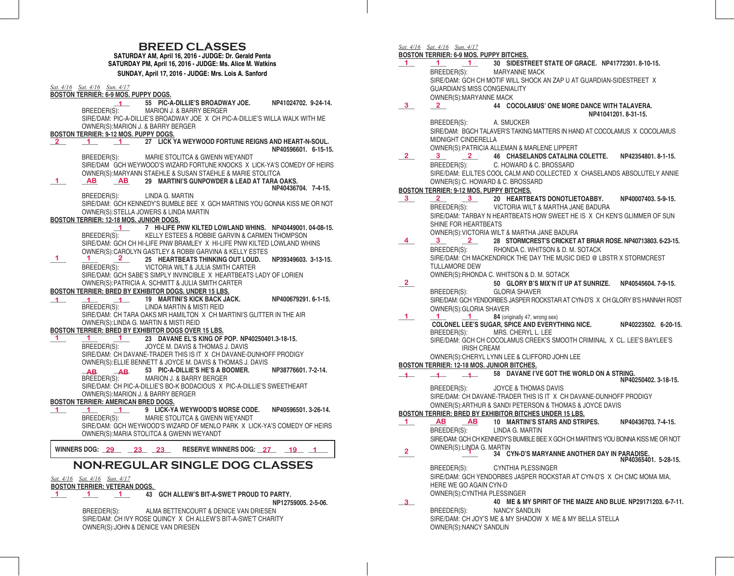# **BREED CLASSES SATURDAY AM, April 16, 2016 - JUDGE: Dr. Gerald Penta**

**SATURDAY PM, April 16, 2016 - JUDGE: Ms. Alice M. Watkins SUNDAY, April 17, 2016 - JUDGE: Mrs. Lois A. Sanford**

|              | <u>Sat. 4/16</u> Sat. 4/16    Sun. 4/17<br><b>BOSTON TERRIER: 6-9 MOS. PUPPY DOGS.</b>                                                                                             |
|--------------|------------------------------------------------------------------------------------------------------------------------------------------------------------------------------------|
|              | 55 PIC-A-DILLIE'S BROADWAY JOE.<br>NP41024702. 9-24-14.<br>MARION J. & BARRY BERGER<br>BREEDER(S):<br>SIRE/DAM: PIC-A-DILLIE'S BROADWAY JOE X CH PIC-A-DILLIE'S WILLA WALK WITH ME |
|              | OWNER(S): MARION J. & BARRY BERGER<br>BOSTON TERRIER: 9-12 MOS. PUPPY DOGS.                                                                                                        |
| $\mathbf{2}$ | 27 LICK YA WEYWOOD FORTUNE REIGNS AND HEART-N-SOUL.<br>$\sim$ 1<br>$\overline{1}$<br>NP40596601 6-15-15                                                                            |
|              | MARIE STOLITCA & GWENN WEYANDT<br>BREEDER(S):<br>SIRE/DAM GCH WEYWOOD'S WIZARD FORTUNE KNOCKS X LICK-YA'S COMEDY OF HEIRS                                                          |
| 1.           | OWNER(S): MARYANN STAEHLE & SUSAN STAEHLE & MARIE STOLITCA<br>29 MARTINI'S GUNPOWDER & LEAD AT TARA OAKS.<br><b>AB</b><br><b>AB</b><br>NP40436704, 7-4-15.                         |
|              | BREEDER(S):<br>LINDA G. MARTIN<br>SIRE/DAM: GCH KENNEDY'S BUMBLE BEE X GCH MARTINIS YOU GONNA KISS ME OR NOT                                                                       |
|              | OWNER(S): STELLA JOWERS & LINDA MARTIN<br>BOSTON TERRIER: 12-18 MOS. JUNIOR DOGS.                                                                                                  |
|              | 7 HI-LIFE PNW KILTED LOWLAND WHINS. NP40449001.04-08-15.<br>1.<br>BREEDER(S):<br>KELLY ESTEES & ROBBIE GARVIN & CARMEN THOMPSON                                                    |
|              | SIRE/DAM: GCH CH HI-LIFE PNW BRAMLEY X HI-LIFE PNW KILTED LOWLAND WHINS<br>OWNER(S): CAROLYN GASTLEY & ROBBI GARVINA & KELLY ESTES                                                 |
| 1            | 1.<br>$2 \pm \sqrt{2}$<br>25 HEARTBEATS THINKING OUT LOUD.<br>NP39349603, 3-13-15.<br>VICTORIA WILT & JULIA SMITH CARTER<br>BREEDER(S):                                            |
|              | SIRE/DAM: GCH SABE'S SIMPLY INVINCIBLE X HEARTBEATS LADY OF LORIEN<br>OWNER(S): PATRICIA A. SCHMITT & JULIA SMITH CARTER                                                           |
|              | <b>BOSTON TERRIER: BRED BY EXHIBITOR DOGS, UNDER 15 LBS.</b><br>19 MARTINI'S KICK BACK JACK.<br>NP400679291. 6-1-15.                                                               |
| $\mathbf{1}$ | $1 -$<br>1<br>BREEDER(S):<br>LINDA MARTIN & MISTI REID                                                                                                                             |
|              | SIRE/DAM: CH TARA OAKS MR HAMILTON X CH MARTINI'S GLITTER IN THE AIR<br>OWNER(S): LINDA G. MARTIN & MISTI REID<br>BOSTON TERRIER: BRED BY EXHIBITOR DOGS OVER 15 LBS.              |
| 1            | 23 DAVANE EL'S KING OF POP. NP40250401.3-18-15.<br>1.<br>$\sim$ 1                                                                                                                  |
|              | JOYCE M. DAVIS & THOMAS J. DAVIS<br>BREEDER(S):                                                                                                                                    |
|              | SIRE/DAM: CH DAVANE-TRADER THIS IS IT X CH DAVANE-DUNHOFF PRODIGY<br>OWNER(S): ELLIE BENNETT & JOYCE M. DAVIS & THOMAS J. DAVIS                                                    |
|              | 53 PIC-A-DILLIE'S HE'S A BOOMER.<br>NP38776601.7-2-14.<br>AB<br>AB.<br>MARION J. & BARRY BERGER<br>BREEDER(S):                                                                     |
|              | SIRE/DAM: CH PIC-A-DILLIE'S BO-K BODACIOUS X PIC-A-DILLIE'S SWEETHEART<br>OWNER(S): MARION J. & BARRY BERGER                                                                       |
|              | <b>BOSTON TERRIER: AMERICAN BRED DOGS.</b>                                                                                                                                         |
| 1.           | 1 9 LICK-YA WEYWOOD'S MORSE CODE.<br>NP40596501.3-26-14.<br>1.                                                                                                                     |
|              | MARIE STOLITCA & GWENN WEYANDT<br>BREEDER(S):                                                                                                                                      |
|              | SIRE/DAM: GCH WEYWOOD'S WIZARD OF MENLO PARK X LICK-YA'S COMEDY OF HEIRS<br>OWNER(S): MARIA STOLITCA & GWENN WEYANDT                                                               |
|              |                                                                                                                                                                                    |
|              | WINNERS DOG: 29 23 23<br>RESERVE WINNERS DOG: 27 19 1                                                                                                                              |
|              | <b>NON-REGULAR SINGLE DOG CLASSES</b>                                                                                                                                              |
|              | Sat. 4/16 Sat. 4/16 Sun. 4/17<br><b>BOSTON TERRIER: VETERAN DOGS.</b>                                                                                                              |
| 1.           | $\mathbf{1}$<br>1 43 GCH ALLEW'S BIT-A-SWE'T PROUD TO PARTY.<br>NP12759005.2-5-06.                                                                                                 |
|              | ALMA BETTENCOURT & DENICE VAN DRIESEN<br>BREEDER(S):<br>SIRE/DAM: CH IVY ROSE QUINCY X CH ALLEW'S BIT-A-SWE'T CHARITY                                                              |

OWNER(S):JOHN & DENICE VAN DRIESEN

|                | Sat. 4/16 Sat. 4/16 Sun. 4/17                      |                                                                                                                                             |                      |
|----------------|----------------------------------------------------|---------------------------------------------------------------------------------------------------------------------------------------------|----------------------|
|                | <b>BOSTON TERRIER: 6-9 MOS. PUPPY BITCHES.</b>     |                                                                                                                                             |                      |
| 1.             |                                                    | 1 30 SIDESTREET STATE OF GRACE. NP41772301.8-10-15.                                                                                         |                      |
|                | BREEDER(S): MARYANNE MACK                          |                                                                                                                                             |                      |
|                |                                                    | SIRE/DAM: GCH CH MOTIF WILL SHOCK AN ZAP U AT GUARDIAN-SIDESTREET X                                                                         |                      |
|                | <b>GUARDIAN'S MISS CONGENIALITY</b>                |                                                                                                                                             |                      |
| 3              | OWNER(S): MARYANNE MACK<br>$\overline{\mathbf{2}}$ | 44 COCOLAMUS' ONE MORE DANCE WITH TALAVERA.                                                                                                 |                      |
|                |                                                    |                                                                                                                                             | NP41041201, 8-31-15. |
|                | BREEDER(S): A. SMUCKER                             |                                                                                                                                             |                      |
|                |                                                    | SIRE/DAM: BGCH TALAVER'S TAKING MATTERS IN HAND AT COCOLAMUS X COCOLAMUS                                                                    |                      |
|                | <b>MIDNIGHT CINDERELLA</b>                         |                                                                                                                                             |                      |
|                |                                                    | OWNER(S): PATRICIA ALLEMAN & MARLENE LIPPERT                                                                                                |                      |
| 2.             |                                                    | 3 2 46 CHASELANDS CATALINA COLETTE. NP42354801. 8-1-15.                                                                                     |                      |
|                |                                                    | BREEDER(S): C. HOWARD & C. BROSSARD                                                                                                         |                      |
|                | OWNER(S): C. HOWARD & C. BROSSARD                  | SIRE/DAM: ELILTES COOL CALM AND COLLECTED X CHASELANDS ABSOLUTELY ANNIE                                                                     |                      |
|                | BOSTON TERRIER: 9-12 MOS. PUPPY BITCHES.           |                                                                                                                                             |                      |
| 3              |                                                    | 2 3 20 HEARTBEATS DONOTLIETOABBY.                                                                                                           | NP40007403.5-9-15.   |
|                |                                                    | BREEDER(S): VICTORIA WILT & MARTHA JANE BADURA                                                                                              |                      |
|                |                                                    | SIRE/DAM: TARBAY N HEARTBEATS HOW SWEET HE IS X CH KEN'S GLIMMER OF SUN                                                                     |                      |
|                | SHINE FOR HEARTBEATS                               |                                                                                                                                             |                      |
|                |                                                    | OWNER(S): VICTORIA WILT & MARTHA JANE BADURA                                                                                                |                      |
| 4              |                                                    | $\frac{3}{100}$ $\frac{2}{100}$ 28 STORMCREST'S CRICKET AT BRIAR ROSE. NP40713803. 6-23-15.<br>BREEDER(S): RHONDA C. WHITSON & D. M. SOTACK |                      |
|                |                                                    |                                                                                                                                             |                      |
|                |                                                    | SIRE/DAM: CH MACKENDRICK THE DAY THE MUSIC DIED @ LBSTR X STORMCREST                                                                        |                      |
|                | <b>TULLAMORE DEW</b>                               |                                                                                                                                             |                      |
|                |                                                    | OWNER(S): RHONDA C. WHITSON & D. M. SOTACK                                                                                                  |                      |
| 2.             | BREEDER(S):                                        | 50 GLORY B'S MIX'N IT UP AT SUNRIZE. NP40545604. 7-9-15.<br><b>GLORIA SHAVER</b>                                                            |                      |
|                |                                                    | SIRE/DAM: GCH YENDORBES JASPER ROCKSTAR AT CYN-D'S X CH GLORY B'S HANNAH ROST                                                               |                      |
|                | OWNER(S): GLORIA SHAVER                            |                                                                                                                                             |                      |
| 1.             | 1.                                                 | 1 84 (originally 47, wrong sex)                                                                                                             |                      |
|                |                                                    | COLONEL LEE'S SUGAR, SPICE AND EVERYTHING NICE. NP40223502. 6-20-15.                                                                        |                      |
|                |                                                    | BREEDER(S): MRS. CHERYL L. LEE                                                                                                              |                      |
|                | <b>IRISH CREAM</b>                                 | SIRE/DAM: GCH CH COCOLAMUS CREEK'S SMOOTH CRIMINAL X CL. LEE'S BAYLEE'S                                                                     |                      |
|                |                                                    | OWNER(S): CHERYL LYNN LEE & CLIFFORD JOHN LEE                                                                                               |                      |
|                | BOSTON TERRIER: 12-18 MOS. JUNIOR BITCHES.         |                                                                                                                                             |                      |
| $\overline{1}$ |                                                    | 1 58 DAVANE I'VE GOT THE WORLD ON A STRING.                                                                                                 |                      |
|                |                                                    |                                                                                                                                             | NP40250402, 3-18-15. |
|                | BREEDER(S):                                        | JOYCE & THOMAS DAVIS                                                                                                                        |                      |
|                |                                                    | SIRE/DAM: CH DAVANE-TRADER THIS IS IT X CH DAVANE-DUNHOFF PRODIGY                                                                           |                      |
|                |                                                    | OWNER(S): ARTHUR & SANDI PETERSON & THOMAS & JOYCE DAVIS<br>BOSTON TERRIER: BRED BY EXHIBITOR BITCHES UNDER 15 LBS.                         |                      |
| 1.             | AB<br><b>AB</b>                                    | 10 MARTINI'S STARS AND STRIPES. NP40436703, 7-4-15.                                                                                         |                      |
|                | BREEDER(S):                                        | LINDA G. MARTIN                                                                                                                             |                      |
|                |                                                    | SIRE/DAM: GCH CH KENNEDY'S BUMBLE BEE X GCH CH MARTINI'S YOU BONNA KISS ME OR NOT                                                           |                      |
|                | OWNER(S):LINDA G. MARTIN                           |                                                                                                                                             |                      |
| $\mathbf{2}^-$ |                                                    | 34 CYN-D'S MARYANNE ANOTHER DAY IN PARADISE.                                                                                                | NP40365401. 5-28-15. |
|                | BREEDER(S):                                        | <b>CYNTHIA PLESSINGER</b>                                                                                                                   |                      |
|                |                                                    | SIRE/DAM: GCH YENDORBES JASPER ROCKSTAR AT CYN-D'S X CH CMC MOMA MIA,                                                                       |                      |
|                | HERE WE GO AGAIN CYN-D                             |                                                                                                                                             |                      |
|                | OWNER(S): CYNTHIA PLESSINGER                       |                                                                                                                                             |                      |
| 3              |                                                    | 40 ME & MY SPIRIT OF THE MAIZE AND BLUE. NP29171203. 6-7-11.                                                                                |                      |
|                | BREEDER(S):                                        | <b>NANCY SANDLIN</b>                                                                                                                        |                      |
|                |                                                    | SIRE/DAM: CH JOY'S ME & MY SHADOW X ME & MY BELLA STELLA                                                                                    |                      |

OWNER(S):NANCY SANDLIN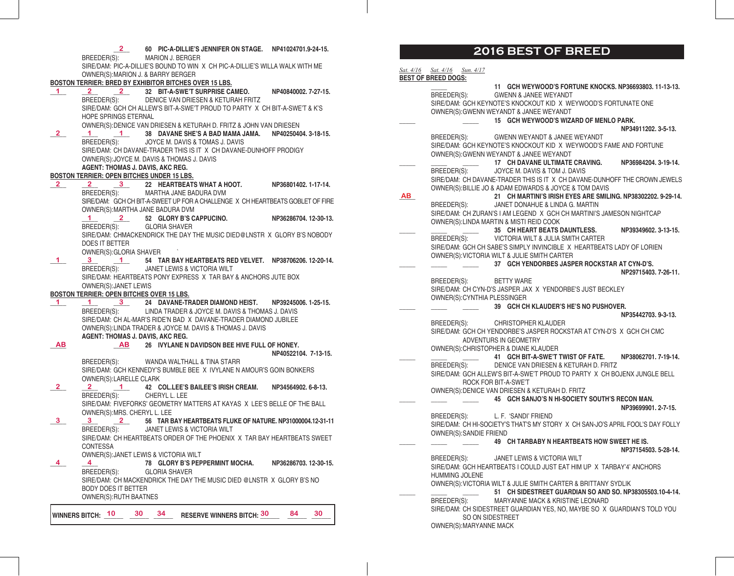|                         | 2                                                 | 60 PIC-A-DILLIE'S JENNIFER ON STAGE. NP41024701.9-24-15.<br>BREEDER(S): MARION J. BERGER                                                                 |                      |
|-------------------------|---------------------------------------------------|----------------------------------------------------------------------------------------------------------------------------------------------------------|----------------------|
|                         |                                                   | SIRE/DAM: PIC-A-DILLIE'S BOUND TO WIN X CH PIC-A-DILLIE'S WILLA WALK WITH ME                                                                             |                      |
|                         |                                                   | OWNER(S): MARION J. & BARRY BERGER                                                                                                                       |                      |
|                         |                                                   | BOSTON TERRIER: BRED BY EXHIBITOR BITCHES OVER 15 LBS.                                                                                                   |                      |
| $\mathbf{1}$            |                                                   | 2 2 32 BIT-A-SWE'T SURPRISE CAMEO.                                                                                                                       | NP40840002. 7-27-15. |
|                         |                                                   | BREEDER(S): DENICE VAN DRIESEN & KETURAH FRITZ                                                                                                           |                      |
|                         |                                                   | SIRE/DAM: GCH CH ALLEW'S BIT-A-SWE'T PROUD TO PARTY X CH BIT-A-SWE'T & K'S                                                                               |                      |
|                         | HOPE SPRINGS ETERNAL                              |                                                                                                                                                          |                      |
|                         |                                                   | OWNER(S): DENICE VAN DRIESEN & KETURAH D. FRITZ & JOHN VAN DRIESEN                                                                                       |                      |
| 2                       |                                                   | 1 1 38 DAVANE SHE'S A BAD MAMA JAMA. NP40250404. 3-18-15.                                                                                                |                      |
|                         | BREEDER(S):                                       | JOYCE M. DAVIS & TOMAS J. DAVIS                                                                                                                          |                      |
|                         |                                                   | SIRE/DAM: CH DAVANE-TRADER THIS IS IT X CH DAVANE-DUNHOFF PRODIGY                                                                                        |                      |
|                         |                                                   | OWNER(S): JOYCE M. DAVIS & THOMAS J. DAVIS                                                                                                               |                      |
|                         | AGENT: THOMAS J. DAVIS, AKC REG.                  |                                                                                                                                                          |                      |
|                         | <b>BOSTON TERRIER: OPEN BITCHES UNDER 15 LBS.</b> |                                                                                                                                                          |                      |
| $\overline{\mathbf{2}}$ |                                                   | $\frac{2}{3}$ 3 22 HEARTBEATS WHAT A HOOT.                                                                                                               | NP36801402.1-17-14.  |
|                         |                                                   | BREEDER(S): MARTHA JANE BADURA DVM                                                                                                                       |                      |
|                         |                                                   | SIRE/DAM: GCH CH BIT-A-SWEET UP FOR A CHALLENGE X CH HEARTBEATS GOBLET OF FIRE                                                                           |                      |
|                         |                                                   | OWNER(S): MARTHA JANE BADURA DVM                                                                                                                         |                      |
|                         |                                                   | 1 2 52 GLORY B'S CAPPUCINO. NP36286704. 12-30-13.                                                                                                        |                      |
|                         | BREEDER(S):                                       | <b>GLORIA SHAVER</b>                                                                                                                                     |                      |
|                         |                                                   | SIRE/DAM: CHMACKENDRICK THE DAY THE MUSIC DIED@LNSTR X GLORY B'S NOBODY                                                                                  |                      |
|                         | DOES IT BETTER                                    |                                                                                                                                                          |                      |
|                         | OWNER(S): GLORIA SHAVER                           |                                                                                                                                                          |                      |
| $\mathbf{1}$            |                                                   | 3 1 54 TAR BAY HEARTBEATS RED VELVET. NP38706206. 12-20-14.                                                                                              |                      |
|                         | BREEDER(S):                                       | JANET LEWIS & VICTORIA WILT                                                                                                                              |                      |
|                         |                                                   | SIRE/DAM: HEARTBEATS PONY EXPRESS X TAR BAY & ANCHORS JUTE BOX                                                                                           |                      |
|                         | OWNER(S): JANET LEWIS                             |                                                                                                                                                          |                      |
|                         | BOSTON TERRIER: OPEN BITCHES OVER 15 LBS.         |                                                                                                                                                          |                      |
| 1.                      |                                                   |                                                                                                                                                          |                      |
|                         |                                                   | $\underbrace{1}_{\text{BREEDER(S)}}$ 24 DAVANE-TRADER DIAMOND HEIST. NP39245006. 1-25-15.<br>BREEDER(S): LINDA TRADER & JOYCE M. DAVIS & THOMAS J. DAVIS |                      |
|                         |                                                   | SIRE/DAM: CH AL-MAR'S RIDE'N BAD X DAVANE-TRADER DIAMOND JUBILEE                                                                                         |                      |
|                         |                                                   | OWNER(S): LINDA TRADER & JOYCE M. DAVIS & THOMAS J. DAVIS                                                                                                |                      |
|                         | AGENT: THOMAS J. DAVIS, AKC REG.                  |                                                                                                                                                          |                      |
| AВ                      |                                                   | AB 26 IVYLANE N DAVIDSON BEE HIVE FULL OF HONEY.                                                                                                         |                      |
|                         |                                                   |                                                                                                                                                          | NP40522104, 7-13-15. |
|                         |                                                   | BREEDER(S): WANDA WALTHALL & TINA STARR                                                                                                                  |                      |
|                         |                                                   | SIRE/DAM: GCH KENNEDY'S BUMBLE BEE X IVYLANE N AMOUR'S GOIN BONKERS                                                                                      |                      |
|                         | OWNER(S):LARELLE CLARK                            |                                                                                                                                                          |                      |
| $\mathbf{2}$            | $2 \qquad \qquad$                                 | 1 42 COL.LEE'S BAILEE'S IRISH CREAM. NP34564902. 6-8-13.                                                                                                 |                      |
|                         | BREEDER(S):                                       | CHERYL L. LEE                                                                                                                                            |                      |
|                         |                                                   | SIRE/DAM: FIVEFORKS' GEOMETRY MATTERS AT KAYAS X LEE'S BELLE OF THE BALL                                                                                 |                      |
|                         | OWNER(S): MRS. CHERYL L. LEE                      |                                                                                                                                                          |                      |
|                         |                                                   |                                                                                                                                                          |                      |
| 3                       | $3 \t 2$                                          | 56 TAR BAY HEARTBEATS FLUKE OF NATURE. NP31000004.12-31-11                                                                                               |                      |
|                         |                                                   | BREEDER(S): JANET LEWIS & VICTORIA WILT                                                                                                                  |                      |
|                         |                                                   | SIRE/DAM: CH HEARTBEATS ORDER OF THE PHOENIX X TAR BAY HEARTBEATS SWEET                                                                                  |                      |
|                         | <b>CONTESSA</b>                                   |                                                                                                                                                          |                      |
|                         |                                                   | OWNER(S): JANET LEWIS & VICTORIA WILT                                                                                                                    |                      |
| 4                       | 4 <sup>1</sup>                                    | 78 GLORY B'S PEPPERMINT MOCHA.                                                                                                                           | NP36286703.12-30-15. |
|                         | BREEDER(S):                                       | <b>GLORIA SHAVER</b>                                                                                                                                     |                      |
|                         |                                                   | SIRE/DAM: CH MACKENDRICK THE DAY THE MUSIC DIED @LNSTR X GLORY B'S NO                                                                                    |                      |
|                         | <b>BODY DOES IT BETTER</b>                        |                                                                                                                                                          |                      |
|                         | <b>OWNER(S): RUTH BAATNES</b>                     |                                                                                                                                                          |                      |
|                         |                                                   |                                                                                                                                                          |                      |

## **2016 BEST OF BREED**

|    | Sat. 4/16 Sat. 4/16        | Sun. 4/17               |                                                                                                                         |                      |
|----|----------------------------|-------------------------|-------------------------------------------------------------------------------------------------------------------------|----------------------|
|    | <b>BEST OF BREED DOGS:</b> |                         |                                                                                                                         |                      |
|    |                            |                         | 11 GCH WEYWOOD'S FORTUNE KNOCKS. NP36693803. 11-13-13.<br>BREEDER(S): GWENN & JANEE WEYANDT                             |                      |
|    |                            |                         | SIRE/DAM: GCH KEYNOTE'S KNOCKOUT KID X WEYWOOD'S FORTUNATE ONE                                                          |                      |
|    |                            |                         | OWNER(S): GWENN WEYANDT & JANEE WEYANDT                                                                                 |                      |
|    |                            |                         | 15 GCH WEYWOOD'S WIZARD OF MENLO PARK.                                                                                  |                      |
|    |                            |                         |                                                                                                                         | NP34911202.3-5-13.   |
|    |                            |                         | BREEDER(S): GWENN WEYANDT & JANEE WEYANDT                                                                               |                      |
|    |                            |                         | SIRE/DAM: GCH KEYNOTE'S KNOCKOUT KID X WEYWOOD'S FAME AND FORTUNE                                                       |                      |
|    |                            |                         | OWNER(S): GWENN WEYANDT & JANEE WEYANDT                                                                                 |                      |
|    |                            |                         | 17 CH DAVANE ULTIMATE CRAVING.                                                                                          | NP36984204.3-19-14.  |
|    |                            |                         | BREEDER(S): JOYCE M. DAVIS & TOM J. DAVIS<br>SIRE/DAM: CH DAVANE-TRADER THIS IS IT X CH DAVANE-DUNHOFF THE CROWN JEWELS |                      |
|    |                            |                         | OWNER(S): BILLIE JO & ADAM EDWARDS & JOYCE & TOM DAVIS                                                                  |                      |
| AB |                            |                         | 21 CH MARTINI'S IRISH EYES ARE SMILING. NP38302202. 9-29-14.                                                            |                      |
|    |                            |                         | BREEDER(S): JANET DONAHUE & LINDA G. MARTIN                                                                             |                      |
|    |                            |                         | SIRE/DAM: CH ZURAN'S I AM LEGEND X GCH CH MARTINI'S JAMESON NIGHTCAP                                                    |                      |
|    |                            |                         | OWNER(S): LINDA MARTIN & MISTI REID COOK                                                                                |                      |
|    |                            |                         | 35 CH HEART BEATS DAUNTLESS.                                                                                            | NP39349602, 3-13-15. |
|    | BREEDER(S):                |                         | VICTORIA WILT & JULIA SMITH CARTER                                                                                      |                      |
|    |                            |                         | SIRE/DAM: GCH CH SABE'S SIMPLY INVINCIBLE X HEARTBEATS LADY OF LORIEN                                                   |                      |
|    |                            |                         | OWNER(S): VICTORIA WILT & JULIE SMITH CARTER                                                                            |                      |
|    |                            |                         | 37 GCH YENDORBES JASPER ROCKSTAR AT CYN-D'S.                                                                            | NP29715403.7-26-11.  |
|    | BREEDER(S):                |                         | BETTY WARE                                                                                                              |                      |
|    |                            |                         | SIRE/DAM: CH CYN-D'S JASPER JAX X YENDORBE'S JUST BECKLEY                                                               |                      |
|    |                            |                         | OWNER(S): CYNTHIA PLESSINGER                                                                                            |                      |
|    |                            |                         | 39 GCH CH KLAUDER'S HE'S NO PUSHOVER.                                                                                   |                      |
|    |                            |                         |                                                                                                                         | NP35442703.9-3-13.   |
|    | BREEDER(S):                |                         | CHRISTOPHER KLAUDER                                                                                                     |                      |
|    |                            |                         | SIRE/DAM: GCH CH YENDORBE'S JASPER ROCKSTAR AT CYN-D'S X GCH CH CMC                                                     |                      |
|    |                            |                         | ADVENTURS IN GEOMETRY<br>OWNER(S): CHRISTOPHER & DIANE KLAUDER                                                          |                      |
|    |                            |                         | 41 GCH BIT-A-SWE'T TWIST OF FATE. NP38062701. 7-19-14.                                                                  |                      |
|    | BREEDER(S):                |                         | DENICE VAN DRIESEN & KETURAH D. FRITZ                                                                                   |                      |
|    |                            |                         | SIRE/DAM: GCH ALLEW'S BIT-A-SWE'T PROUD TO PARTY X CH BOJENX JUNGLE BELL                                                |                      |
|    |                            |                         | ROCK FOR BIT-A-SWE'T                                                                                                    |                      |
|    |                            |                         | OWNER(S): DENICE VAN DRIESEN & KETURAH D. FRITZ                                                                         |                      |
|    |                            |                         | 45 GCH SANJO'S N HI-SOCIETY SOUTH'S RECON MAN.                                                                          |                      |
|    |                            |                         |                                                                                                                         | NP39699901.2-7-15.   |
|    |                            |                         | BREEDER(S): L. F. 'SANDI' FRIEND<br>SIRE/DAM: CH HI-SOCIETY'S THAT'S MY STORY X CH SAN-JO'S APRIL FOOL'S DAY FOLLY      |                      |
|    |                            | OWNER(S): SANDIE FRIEND |                                                                                                                         |                      |
|    |                            |                         | 49 CH TARBABY N HEARTBEATS HOW SWEET HE IS.                                                                             |                      |
|    |                            |                         |                                                                                                                         | NP37154503.5-28-14.  |
|    | BREEDER(S):                |                         | JANET LEWIS & VICTORIA WILT                                                                                             |                      |
|    |                            |                         | SIRE/DAM: GCH HEARTBEATS I COULD JUST EAT HIM UP X TARBAY'4' ANCHORS                                                    |                      |
|    |                            | <b>HUMMING JOLENE</b>   |                                                                                                                         |                      |
|    |                            |                         | OWNER(S): VICTORIA WILT & JULIE SMITH CARTER & BRITTANY SYDLIK                                                          |                      |
|    | BREEDER(S):                |                         | 51 CH SIDESTREET GUARDIAN SO AND SO, NP38305503,10-4-14,                                                                |                      |
|    |                            |                         | MARYANNE MACK & KRISTINE LEONARD<br>SIRE/DAM: CH SIDESTREET GUARDIAN YES, NO, MAYBE SO X GUARDIAN'S TOLD YOU            |                      |
|    |                            |                         | SO ON SIDESTREET                                                                                                        |                      |
|    |                            | OWNER(S): MARYANNE MACK |                                                                                                                         |                      |